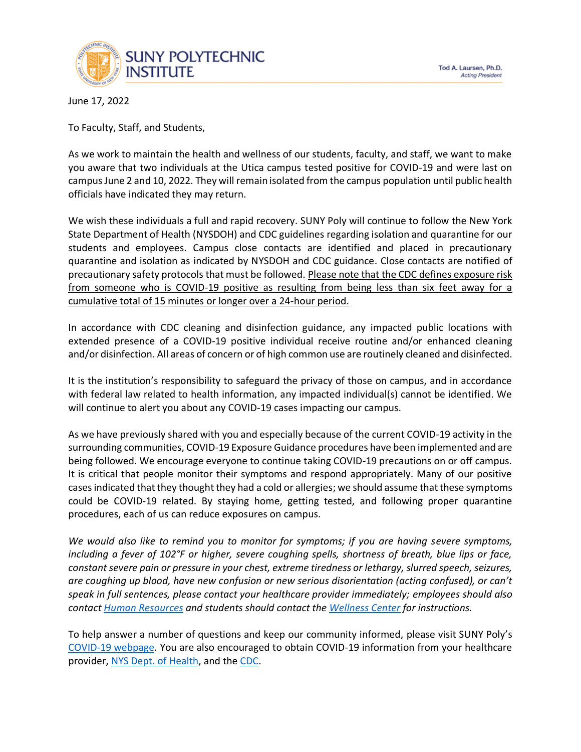

June 17, 2022

To Faculty, Staff, and Students,

As we work to maintain the health and wellness of our students, faculty, and staff, we want to make you aware that two individuals at the Utica campus tested positive for COVID-19 and were last on campusJune 2 and 10, 2022. They will remain isolated from the campus population until public health officials have indicated they may return.

We wish these individuals a full and rapid recovery. SUNY Poly will continue to follow the New York State Department of Health (NYSDOH) and CDC guidelines regarding isolation and quarantine for our students and employees. Campus close contacts are identified and placed in precautionary quarantine and isolation as indicated by NYSDOH and CDC guidance. Close contacts are notified of precautionary safety protocols that must be followed. Please note that the CDC defines exposure risk from someone who is COVID-19 positive as resulting from being less than six feet away for a cumulative total of 15 minutes or longer over a 24-hour period.

In accordance with CDC cleaning and disinfection guidance, any impacted public locations with extended presence of a COVID-19 positive individual receive routine and/or enhanced cleaning and/or disinfection. All areas of concern or of high common use are routinely cleaned and disinfected.

It is the institution's responsibility to safeguard the privacy of those on campus, and in accordance with federal law related to health information, any impacted individual(s) cannot be identified. We will continue to alert you about any COVID-19 cases impacting our campus.

As we have previously shared with you and especially because of the current COVID-19 activity in the surrounding communities, COVID-19 Exposure Guidance procedures have been implemented and are being followed. We encourage everyone to continue taking COVID-19 precautions on or off campus. It is critical that people monitor their symptoms and respond appropriately. Many of our positive cases indicated that they thought they had a cold or allergies; we should assume that these symptoms could be COVID-19 related. By staying home, getting tested, and following proper quarantine procedures, each of us can reduce exposures on campus.

*We would also like to remind you to monitor for symptoms; if you are having severe symptoms, including a fever of 102°F or higher, severe coughing spells, shortness of breath, blue lips or face, constant severe pain or pressure in your chest, extreme tiredness or lethargy, slurred speech, seizures, are coughing up blood, have new confusion or new serious disorientation (acting confused), or can't speak in full sentences, please contact your healthcare provider immediately; employees should also contac[t Human Resources](mailto:hr@sunypoly.edu) and students should contact the [Wellness Center](mailto:wellnesscenter@sunypoly.edu) for instructions.*

To help answer a number of questions and keep our community informed, please visit SUNY Poly's [COVID-19 webpage.](https://sunypoly.edu/covid19) You are also encouraged to obtain COVID-19 information from your healthcare provider, [NYS Dept. of Health,](https://coronavirus.health.ny.gov/home) and the [CDC.](https://www.cdc.gov/coronavirus/2019-ncov/index.html)